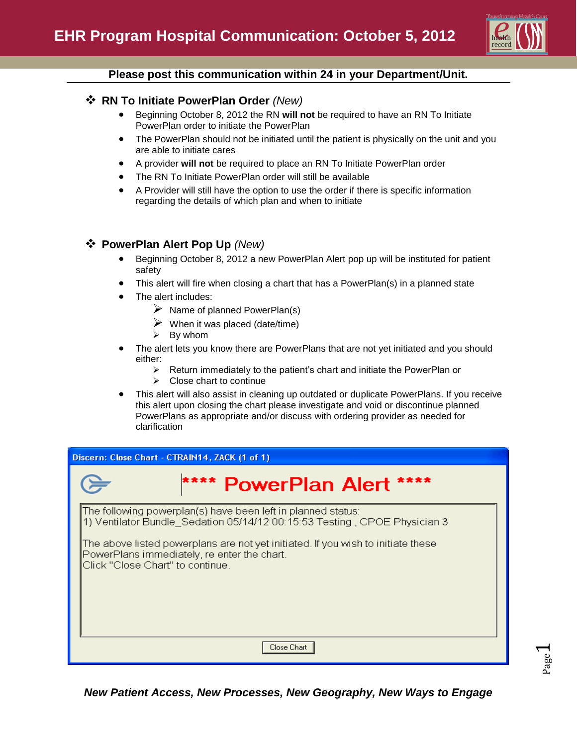

#### **Please post this communication within 24 in your Department/Unit.**

#### **RN To Initiate PowerPlan Order** *(New)*

- Beginning October 8, 2012 the RN **will not** be required to have an RN To Initiate PowerPlan order to initiate the PowerPlan
- The PowerPlan should not be initiated until the patient is physically on the unit and you are able to initiate cares
- A provider **will not** be required to place an RN To Initiate PowerPlan order
- The RN To Initiate PowerPlan order will still be available
- A Provider will still have the option to use the order if there is specific information regarding the details of which plan and when to initiate

# **PowerPlan Alert Pop Up** *(New)*

- Beginning October 8, 2012 a new PowerPlan Alert pop up will be instituted for patient safety
- This alert will fire when closing a chart that has a PowerPlan(s) in a planned state
- The alert includes:
	- $\triangleright$  Name of planned PowerPlan(s)
	- $\triangleright$  When it was placed (date/time)
	- $\triangleright$  By whom
- The alert lets you know there are PowerPlans that are not yet initiated and you should either:
	- $\triangleright$  Return immediately to the patient's chart and initiate the PowerPlan or
	- $\triangleright$  Close chart to continue
- This alert will also assist in cleaning up outdated or duplicate PowerPlans. If you receive this alert upon closing the chart please investigate and void or discontinue planned PowerPlans as appropriate and/or discuss with ordering provider as needed for clarification

| Discern: Close Chart - CTRAIN14, ZACK (1 of 1)                                                                                                                      |                                                                                                                                           |  |  |  |  |  |
|---------------------------------------------------------------------------------------------------------------------------------------------------------------------|-------------------------------------------------------------------------------------------------------------------------------------------|--|--|--|--|--|
|                                                                                                                                                                     | **** PowerPlan Alert ****                                                                                                                 |  |  |  |  |  |
|                                                                                                                                                                     | The following powerplan(s) have been left in planned status:<br>1) Ventilator Bundle Sedation 05/14/12 00:15:53 Testing, CPOE Physician 3 |  |  |  |  |  |
| The above listed powerplans are not yet initiated. If you wish to initiate these<br>PowerPlans immediately, re enter the chart.<br>Click "Close Chart" to continue. |                                                                                                                                           |  |  |  |  |  |
| Close Chart                                                                                                                                                         |                                                                                                                                           |  |  |  |  |  |

Page  $\overline{\phantom{0}}$